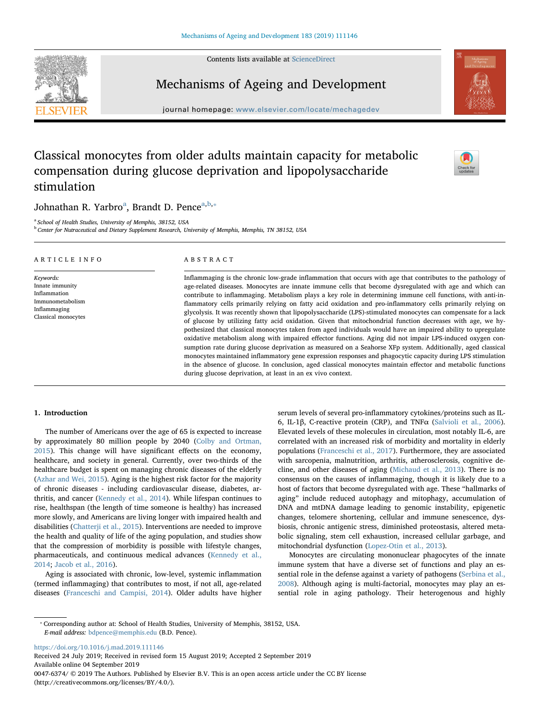Contents lists available at [ScienceDirect](http://www.sciencedirect.com/science/journal/00476374)

Mechanisms of Ageing and Development





# Classical monocytes from older adults maintain capacity for metabolic compensation during glucose deprivation and lipopolysaccharide stimulation



# John[a](#page-0-0)than R. Yarbro<sup>a</sup>, Brandt D. Pence<sup>a,[b,](#page-0-1)</sup>\*

<span id="page-0-0"></span><sup>a</sup> School of Health Studies, University of Memphis, 38152, USA

<span id="page-0-1"></span><sup>b</sup> Center for Nutraceutical and Dietary Supplement Research, University of Memphis, Memphis, TN 38152, USA

| ARTICLE INFO                                                                                            | ABSTRACT                                                                                                                                                                                                                                                                                                                                                                                                                                                                                                                                                                                                                                                                                                                                                                                                                                                                                                                                                                                                                                                                                                                                                                                                                                                       |  |  |
|---------------------------------------------------------------------------------------------------------|----------------------------------------------------------------------------------------------------------------------------------------------------------------------------------------------------------------------------------------------------------------------------------------------------------------------------------------------------------------------------------------------------------------------------------------------------------------------------------------------------------------------------------------------------------------------------------------------------------------------------------------------------------------------------------------------------------------------------------------------------------------------------------------------------------------------------------------------------------------------------------------------------------------------------------------------------------------------------------------------------------------------------------------------------------------------------------------------------------------------------------------------------------------------------------------------------------------------------------------------------------------|--|--|
| Keywords:<br>Innate immunity<br>Inflammation<br>Immunometabolism<br>Inflammaging<br>Classical monocytes | Inflammaging is the chronic low-grade inflammation that occurs with age that contributes to the pathology of<br>age-related diseases. Monocytes are innate immune cells that become dysregulated with age and which can<br>contribute to inflammaging. Metabolism plays a key role in determining immune cell functions, with anti-in-<br>flammatory cells primarily relying on fatty acid oxidation and pro-inflammatory cells primarily relying on<br>glycolysis. It was recently shown that lipopolysaccharide (LPS)-stimulated monocytes can compensate for a lack<br>of glucose by utilizing fatty acid oxidation. Given that mitochondrial function decreases with age, we hy-<br>pothesized that classical monocytes taken from aged individuals would have an impaired ability to upregulate<br>oxidative metabolism along with impaired effector functions. Aging did not impair LPS-induced oxygen con-<br>sumption rate during glucose deprivation as measured on a Seahorse XFp system. Additionally, aged classical<br>monocytes maintained inflammatory gene expression responses and phagocytic capacity during LPS stimulation<br>in the absence of glucose. In conclusion, aged classical monocytes maintain effector and metabolic functions |  |  |

during glucose deprivation, at least in an ex vivo context.

# 1. Introduction

The number of Americans over the age of 65 is expected to increase by approximately 80 million people by 2040 ([Colby and Ortman,](#page-5-0) [2015\)](#page-5-0). This change will have significant effects on the economy, healthcare, and society in general. Currently, over two-thirds of the healthcare budget is spent on managing chronic diseases of the elderly ([Azhar and Wei, 2015](#page-5-1)). Aging is the highest risk factor for the majority of chronic diseases - including cardiovascular disease, diabetes, arthritis, and cancer ([Kennedy et al., 2014](#page-5-2)). While lifespan continues to rise, healthspan (the length of time someone is healthy) has increased more slowly, and Americans are living longer with impaired health and disabilities ([Chatterji et al., 2015](#page-5-3)). Interventions are needed to improve the health and quality of life of the aging population, and studies show that the compression of morbidity is possible with lifestyle changes, pharmaceuticals, and continuous medical advances [\(Kennedy et al.,](#page-5-2) [2014;](#page-5-2) [Jacob et al., 2016](#page-5-4)).

Aging is associated with chronic, low-level, systemic inflammation (termed inflammaging) that contributes to most, if not all, age-related diseases [\(Franceschi and Campisi, 2014](#page-5-5)). Older adults have higher serum levels of several pro-inflammatory cytokines/proteins such as IL-6, IL-1β, C-reactive protein (CRP), and TNFα ([Salvioli et al., 2006](#page-5-6)). Elevated levels of these molecules in circulation, most notably IL-6, are correlated with an increased risk of morbidity and mortality in elderly populations [\(Franceschi et al., 2017\)](#page-5-7). Furthermore, they are associated with sarcopenia, malnutrition, arthritis, atherosclerosis, cognitive decline, and other diseases of aging [\(Michaud et al., 2013\)](#page-5-8). There is no consensus on the causes of inflammaging, though it is likely due to a host of factors that become dysregulated with age. These "hallmarks of aging" include reduced autophagy and mitophagy, accumulation of DNA and mtDNA damage leading to genomic instability, epigenetic changes, telomere shortening, cellular and immune senescence, dysbiosis, chronic antigenic stress, diminished proteostasis, altered metabolic signaling, stem cell exhaustion, increased cellular garbage, and mitochondrial dysfunction ([Lopez-Otin et al., 2013](#page-5-9)).

Monocytes are circulating mononuclear phagocytes of the innate immune system that have a diverse set of functions and play an essential role in the defense against a variety of pathogens [\(Serbina et al.,](#page-5-10) [2008\)](#page-5-10). Although aging is multi-factorial, monocytes may play an essential role in aging pathology. Their heterogenous and highly

<https://doi.org/10.1016/j.mad.2019.111146>

Received 24 July 2019; Received in revised form 15 August 2019; Accepted 2 September 2019 Available online 04 September 2019 0047-6374/ © 2019 The Authors. Published by Elsevier B.V. This is an open access article under the CC BY license (http://creativecommons.org/licenses/BY/4.0/).

<span id="page-0-2"></span><sup>⁎</sup> Corresponding author at: School of Health Studies, University of Memphis, 38152, USA. E-mail address: [bdpence@memphis.edu](mailto:bdpence@memphis.edu) (B.D. Pence).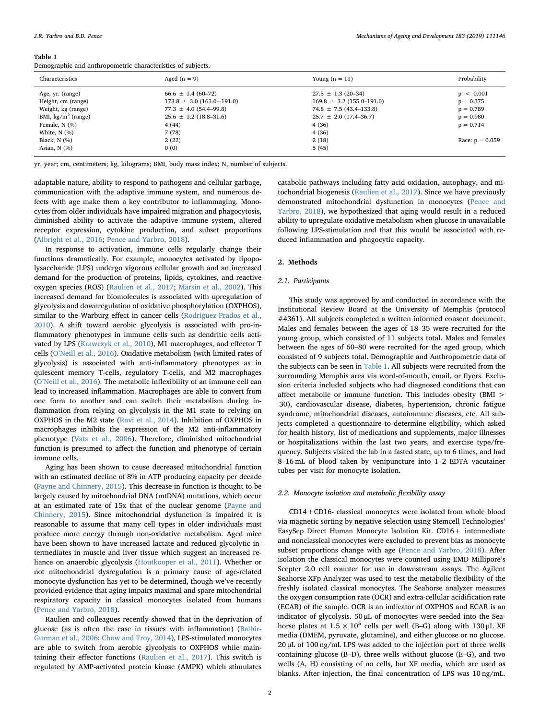<span id="page-1-0"></span>Demographic and anthropometric characteristics of subjects.

| Characteristics              | Aged $(n = 9)$                    | Young $(n = 11)$               | Probability       |
|------------------------------|-----------------------------------|--------------------------------|-------------------|
| Age, yr. (range)             | $66.6 \pm 1.4 (60 - 72)$          | $27.5 \pm 1.3$ (20-34)         | p < 0.001         |
| Height, cm (range)           | $173.8 \pm 3.0 \ (163.0 - 191.0)$ | $169.8 \pm 3.2$ (155.0-191.0)  | $p = 0.375$       |
| Weight, kg (range)           | $77.3 \pm 4.0 (54.4 - 99.8)$      | $74.8 \pm 7.5(43.4 - 133.8)$   | $p = 0.789$       |
| BMI, $\text{kg/m}^2$ (range) | $25.6 \pm 1.2$ (18.8–31.6)        | $25.7 \pm 2.0 \ (17.4 - 36.7)$ | $p = 0.980$       |
| Female, $N$ $(\%)$           | 4 (44)                            | 4(36)                          | $p = 0.714$       |
| White, $N$ $(\%)$            | 7 (78)                            | 4 (36)                         |                   |
| Black, $N$ $(\%)$            | 2(22)                             | 2(18)                          | Race: $p = 0.059$ |
| Asian, $N$ $(\%)$            | 0(0)                              | 5(45)                          |                   |
|                              |                                   |                                |                   |

yr, year; cm, centimeters; kg, kilograms; BMI, body mass index; N, number of subjects.

adaptable nature, ability to respond to pathogens and cellular garbage, communication with the adaptive immune system, and numerous defects with age make them a key contributor to inflammaging. Monocytes from older individuals have impaired migration and phagocytosis, diminished ability to activate the adaptive immune system, altered receptor expression, cytokine production, and subset proportions ([Albright et al., 2016](#page-5-11); [Pence and Yarbro, 2018\)](#page-5-12).

In response to activation, immune cells regularly change their functions dramatically. For example, monocytes activated by lipopolysaccharide (LPS) undergo vigorous cellular growth and an increased demand for the production of proteins, lipids, cytokines, and reactive oxygen species (ROS) ([Raulien et al., 2017;](#page-5-13) [Marsin et al., 2002\)](#page-5-14). This increased demand for biomolecules is associated with upregulation of glycolysis and downregulation of oxidative phosphorylation (OXPHOS), similar to the Warburg effect in cancer cells ([Rodriguez-Prados et al.,](#page-5-15) [2010\)](#page-5-15). A shift toward aerobic glycolysis is associated with pro-inflammatory phenotypes in immune cells such as dendritic cells activated by LPS [\(Krawczyk et al., 2010](#page-5-16)), M1 macrophages, and effector T cells (O'[Neill et al., 2016\)](#page-5-17). Oxidative metabolism (with limited rates of glycolysis) is associated with anti-inflammatory phenotypes as in quiescent memory T-cells, regulatory T-cells, and M2 macrophages (O'[Neill et al., 2016](#page-5-17)). The metabolic inflexibility of an immune cell can lead to increased inflammation. Macrophages are able to convert from one form to another and can switch their metabolism during inflammation from relying on glycolysis in the M1 state to relying on OXPHOS in the M2 state [\(Ravi et al., 2014\)](#page-5-18). Inhibition of OXPHOS in macrophages inhibits the expression of the M2 anti-inflammatory phenotype ([Vats et al., 2006](#page-5-19)). Therefore, diminished mitochondrial function is presumed to affect the function and phenotype of certain immune cells.

Aging has been shown to cause decreased mitochondrial function with an estimated decline of 8% in ATP producing capacity per decade ([Payne and Chinnery, 2015\)](#page-5-20). This decrease in function is thought to be largely caused by mitochondrial DNA (mtDNA) mutations, which occur at an estimated rate of 15x that of the nuclear genome ([Payne and](#page-5-20) [Chinnery, 2015\)](#page-5-20). Since mitochondrial dysfunction is impaired it is reasonable to assume that many cell types in older individuals must produce more energy through non-oxidative metabolism. Aged mice have been shown to have increased lactate and reduced glycolytic intermediates in muscle and liver tissue which suggest an increased reliance on anaerobic glycolysis [\(Houtkooper et al., 2011](#page-5-21)). Whether or not mitochondrial dysregulation is a primary cause of age-related monocyte dysfunction has yet to be determined, though we've recently provided evidence that aging impairs maximal and spare mitochondrial respiratory capacity in classical monocytes isolated from humans ([Pence and Yarbro, 2018\)](#page-5-12).

Raulien and colleagues recently showed that in the deprivation of glucose (as is often the case in tissues with inflammation) ([Balbir-](#page-5-22)Gurman [et al., 2006](#page-5-22); [Chow and Troy, 2014\)](#page-5-23), LPS-stimulated monocytes are able to switch from aerobic glycolysis to OXPHOS while maintaining their effector functions [\(Raulien et al., 2017](#page-5-13)). This switch is regulated by AMP-activated protein kinase (AMPK) which stimulates

catabolic pathways including fatty acid oxidation, autophagy, and mitochondrial biogenesis [\(Raulien et al., 2017\)](#page-5-13). Since we have previously demonstrated mitochondrial dysfunction in monocytes ([Pence and](#page-5-12) [Yarbro, 2018\)](#page-5-12), we hypothesized that aging would result in a reduced ability to upregulate oxidative metabolism when glucose in unavailable following LPS-stimulation and that this would be associated with reduced inflammation and phagocytic capacity.

#### 2. Methods

### 2.1. Participants

This study was approved by and conducted in accordance with the Institutional Review Board at the University of Memphis (protocol #4361). All subjects completed a written informed consent document. Males and females between the ages of 18–35 were recruited for the young group, which consisted of 11 subjects total. Males and females between the ages of 60–80 were recruited for the aged group, which consisted of 9 subjects total. Demographic and Anthropometric data of the subjects can be seen in [Table 1.](#page-1-0) All subjects were recruited from the surrounding Memphis area via word-of-mouth, email, or flyers. Exclusion criteria included subjects who had diagnosed conditions that can affect metabolic or immune function. This includes obesity (BMI > 30), cardiovascular disease, diabetes, hypertension, chronic fatigue syndrome, mitochondrial diseases, autoimmune diseases, etc. All subjects completed a questionnaire to determine eligibility, which asked for health history, list of medications and supplements, major illnesses or hospitalizations within the last two years, and exercise type/frequency. Subjects visited the lab in a fasted state, up to 6 times, and had 8–16 mL of blood taken by venipuncture into 1–2 EDTA vacutainer tubes per visit for monocyte isolation.

#### 2.2. Monocyte isolation and metabolic flexibility assay

CD14+CD16- classical monocytes were isolated from whole blood via magnetic sorting by negative selection using Stemcell Technologies' EasySep Direct Human Monocyte Isolation Kit. CD16+ intermediate and nonclassical monocytes were excluded to prevent bias as monocyte subset proportions change with age ([Pence and Yarbro, 2018](#page-5-12)). After isolation the classical monocytes were counted using EMD Millipore's Scepter 2.0 cell counter for use in downstream assays. The Agilent Seahorse XFp Analyzer was used to test the metabolic flexibility of the freshly isolated classical monocytes. The Seahorse analyzer measures the oxygen consumption rate (OCR) and extra-cellular acidification rate (ECAR) of the sample. OCR is an indicator of OXPHOS and ECAR is an indicator of glycolysis. 50 μL of monocytes were seeded into the Seahorse plates at  $1.5 \times 10^5$  cells per well (B–G) along with 130 µL XF media (DMEM, pyruvate, glutamine), and either glucose or no glucose. 20 μL of 100 ng/mL LPS was added to the injection port of three wells containing glucose (B–D), three wells without glucose (E–G), and two wells (A, H) consisting of no cells, but XF media, which are used as blanks. After injection, the final concentration of LPS was 10 ng/mL.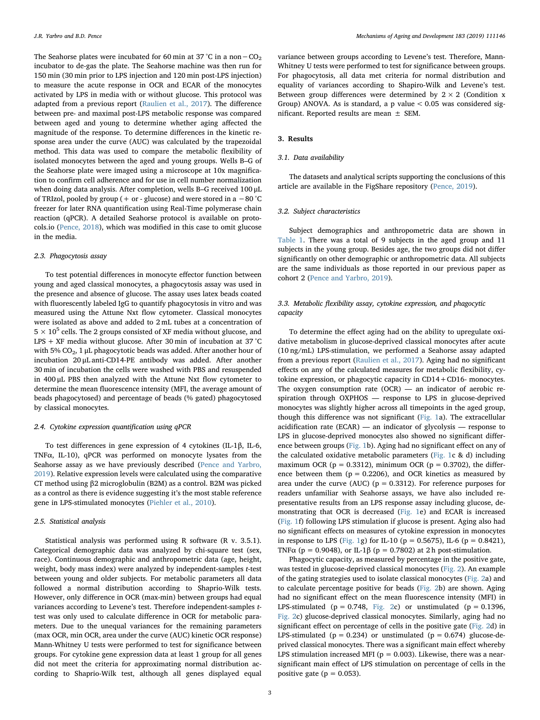The Seahorse plates were incubated for 60 min at 37 °C in a non−CO<sub>2</sub> incubator to de-gas the plate. The Seahorse machine was then run for 150 min (30 min prior to LPS injection and 120 min post-LPS injection) to measure the acute response in OCR and ECAR of the monocytes activated by LPS in media with or without glucose. This protocol was adapted from a previous report [\(Raulien et al., 2017\)](#page-5-13). The difference between pre- and maximal post-LPS metabolic response was compared between aged and young to determine whether aging affected the magnitude of the response. To determine differences in the kinetic response area under the curve (AUC) was calculated by the trapezoidal method. This data was used to compare the metabolic flexibility of isolated monocytes between the aged and young groups. Wells B–G of the Seahorse plate were imaged using a microscope at 10x magnification to confirm cell adherence and for use in cell number normalization when doing data analysis. After completion, wells B–G received 100 μL of TRIzol, pooled by group (+ or - glucose) and were stored in a −80 °C freezer for later RNA quantification using Real-Time polymerase chain reaction (qPCR). A detailed Seahorse protocol is available on protocols.io ([Pence, 2018](#page-5-24)), which was modified in this case to omit glucose in the media.

#### 2.3. Phagocytosis assay

To test potential differences in monocyte effector function between young and aged classical monocytes, a phagocytosis assay was used in the presence and absence of glucose. The assay uses latex beads coated with fluorescently labeled IgG to quantify phagocytosis in vitro and was measured using the Attune Nxt flow cytometer. Classical monocytes were isolated as above and added to 2 mL tubes at a concentration of  $5 \times 10^5$  cells. The 2 groups consisted of XF media without glucose, and LPS + XF media without glucose. After 30 min of incubation at 37 °C with 5%  $CO<sub>2</sub>$ , 1 µL phagocytotic beads was added. After another hour of incubation 20 μL anti-CD14-PE antibody was added. After another 30 min of incubation the cells were washed with PBS and resuspended in 400 μL PBS then analyzed with the Attune Nxt flow cytometer to determine the mean fluorescence intensity (MFI, the average amount of beads phagocytosed) and percentage of beads (% gated) phagocytosed by classical monocytes.

#### 2.4. Cytokine expression quantification using qPCR

To test differences in gene expression of 4 cytokines (IL-1β, IL-6, TNFα, IL-10), qPCR was performed on monocyte lysates from the Seahorse assay as we have previously described [\(Pence and Yarbro,](#page-5-25) [2019\)](#page-5-25). Relative expression levels were calculated using the comparative CT method using β2 microglobulin (B2M) as a control. B2M was picked as a control as there is evidence suggesting it's the most stable reference gene in LPS-stimulated monocytes [\(Piehler et al., 2010](#page-5-26)).

#### 2.5. Statistical analysis

Statistical analysis was performed using R software (R v. 3.5.1). Categorical demographic data was analyzed by chi-square test (sex, race). Continuous demographic and anthropometric data (age, height, weight, body mass index) were analyzed by independent-samples t-test between young and older subjects. For metabolic parameters all data followed a normal distribution according to Shaprio-Wilk tests. However, only difference in OCR (max-min) between groups had equal variances according to Levene's test. Therefore independent-samples ttest was only used to calculate difference in OCR for metabolic parameters. Due to the unequal variances for the remaining parameters (max OCR, min OCR, area under the curve (AUC) kinetic OCR response) Mann-Whitney U tests were performed to test for significance between groups. For cytokine gene expression data at least 1 group for all genes did not meet the criteria for approximating normal distribution according to Shaprio-Wilk test, although all genes displayed equal

variance between groups according to Levene's test. Therefore, Mann-Whitney U tests were performed to test for significance between groups. For phagocytosis, all data met criteria for normal distribution and equality of variances according to Shapiro-Wilk and Levene's test. Between group differences were determined by  $2 \times 2$  (Condition x Group) ANOVA. As is standard, a p value < 0.05 was considered significant. Reported results are mean ± SEM.

#### 3. Results

# 3.1. Data availability

The datasets and analytical scripts supporting the conclusions of this article are available in the FigShare repository [\(Pence, 2019\)](#page-5-27).

# 3.2. Subject characteristics

Subject demographics and anthropometric data are shown in [Table 1](#page-1-0). There was a total of 9 subjects in the aged group and 11 subjects in the young group. Besides age, the two groups did not differ significantly on other demographic or anthropometric data. All subjects are the same individuals as those reported in our previous paper as cohort 2 [\(Pence and Yarbro, 2019](#page-5-25)).

# 3.3. Metabolic flexibility assay, cytokine expression, and phagocytic capacity

To determine the effect aging had on the ability to upregulate oxidative metabolism in glucose-deprived classical monocytes after acute (10 ng/mL) LPS-stimulation, we performed a Seahorse assay adapted from a previous report ([Raulien et al., 2017\)](#page-5-13). Aging had no significant effects on any of the calculated measures for metabolic flexibility, cytokine expression, or phagocytic capacity in CD14+CD16- monocytes. The oxygen consumption rate  $(OCR)$  — an indicator of aerobic respiration through OXPHOS — response to LPS in glucose-deprived monocytes was slightly higher across all timepoints in the aged group, though this difference was not significant ([Fig. 1](#page-3-0)a). The extracellular acidification rate (ECAR) — an indicator of glycolysis — response to LPS in glucose-deprived monocytes also showed no significant difference between groups [\(Fig. 1b](#page-3-0)). Aging had no significant effect on any of the calculated oxidative metabolic parameters [\(Fig. 1c](#page-3-0) & d) including maximum OCR ( $p = 0.3312$ ), minimum OCR ( $p = 0.3702$ ), the difference between them ( $p = 0.2206$ ), and OCR kinetics as measured by area under the curve (AUC) ( $p = 0.3312$ ). For reference purposes for readers unfamiliar with Seahorse assays, we have also included representative results from an LPS response assay including glucose, demonstrating that OCR is decreased ([Fig. 1](#page-3-0)e) and ECAR is increased ([Fig. 1f](#page-3-0)) following LPS stimulation if glucose is present. Aging also had no significant effects on measures of cytokine expression in monocytes in response to LPS ([Fig. 1g](#page-3-0)) for IL-10 ( $p = 0.5675$ ), IL-6 ( $p = 0.8421$ ), TNF $\alpha$  (p = 0.9048), or IL-1 $\beta$  (p = 0.7802) at 2 h post-stimulation.

Phagocytic capacity, as measured by percentage in the positive gate, was tested in glucose-deprived classical monocytes [\(Fig. 2\)](#page-4-0). An example of the gating strategies used to isolate classical monocytes ([Fig. 2](#page-4-0)a) and to calculate percentage positive for beads [\(Fig. 2b](#page-4-0)) are shown. Aging had no significant effect on the mean fluorescence intensity (MFI) in LPS-stimulated ( $p = 0.748$ , [Fig. 2c](#page-4-0)) or unstimulated ( $p = 0.1396$ , [Fig. 2](#page-4-0)c) glucose-deprived classical monocytes. Similarly, aging had no significant effect on percentage of cells in the positive gate ([Fig. 2d](#page-4-0)) in LPS-stimulated ( $p = 0.234$ ) or unstimulated ( $p = 0.674$ ) glucose-deprived classical monocytes. There was a significant main effect whereby LPS stimulation increased MFI ( $p = 0.003$ ). Likewise, there was a nearsignificant main effect of LPS stimulation on percentage of cells in the positive gate ( $p = 0.053$ ).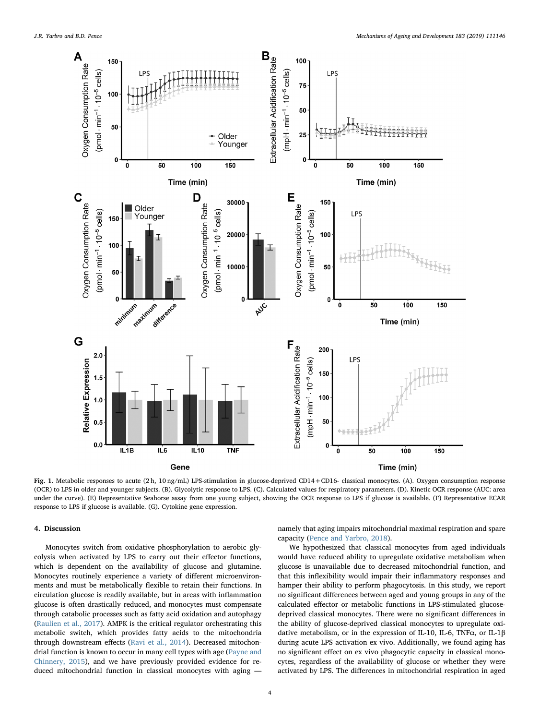<span id="page-3-0"></span>

Fig. 1. Metabolic responses to acute (2 h, 10 ng/mL) LPS-stimulation in glucose-deprived CD14+CD16- classical monocytes. (A). Oxygen consumption response (OCR) to LPS in older and younger subjects. (B). Glycolytic response to LPS. (C). Calculated values for respiratory parameters. (D). Kinetic OCR response (AUC: area under the curve). (E) Representative Seahorse assay from one young subject, showing the OCR response to LPS if glucose is available. (F) Representative ECAR response to LPS if glucose is available. (G). Cytokine gene expression.

# 4. Discussion

Monocytes switch from oxidative phosphorylation to aerobic glycolysis when activated by LPS to carry out their effector functions, which is dependent on the availability of glucose and glutamine. Monocytes routinely experience a variety of different microenvironments and must be metabolically flexible to retain their functions. In circulation glucose is readily available, but in areas with inflammation glucose is often drastically reduced, and monocytes must compensate through catabolic processes such as fatty acid oxidation and autophagy ([Raulien et al., 2017\)](#page-5-13). AMPK is the critical regulator orchestrating this metabolic switch, which provides fatty acids to the mitochondria through downstream effects [\(Ravi et al., 2014](#page-5-18)). Decreased mitochondrial function is known to occur in many cell types with age [\(Payne and](#page-5-20) [Chinnery, 2015\)](#page-5-20), and we have previously provided evidence for reduced mitochondrial function in classical monocytes with aging —

namely that aging impairs mitochondrial maximal respiration and spare capacity ([Pence and Yarbro, 2018\)](#page-5-12).

We hypothesized that classical monocytes from aged individuals would have reduced ability to upregulate oxidative metabolism when glucose is unavailable due to decreased mitochondrial function, and that this inflexibility would impair their inflammatory responses and hamper their ability to perform phagocytosis. In this study, we report no significant differences between aged and young groups in any of the calculated effector or metabolic functions in LPS-stimulated glucosedeprived classical monocytes. There were no significant differences in the ability of glucose-deprived classical monocytes to upregulate oxidative metabolism, or in the expression of IL-10, IL-6, TNFα, or IL-1β during acute LPS activation ex vivo. Additionally, we found aging has no significant effect on ex vivo phagocytic capacity in classical monocytes, regardless of the availability of glucose or whether they were activated by LPS. The differences in mitochondrial respiration in aged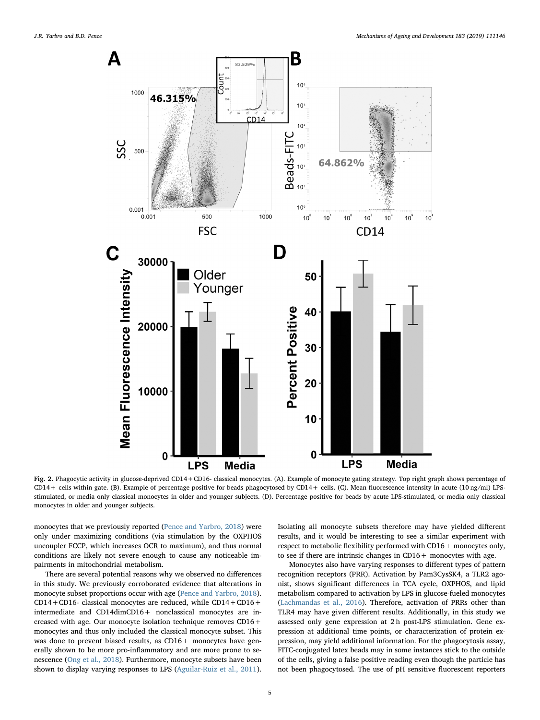<span id="page-4-0"></span>

Fig. 2. Phagocytic activity in glucose-deprived CD14+CD16- classical monocytes. (A). Example of monocyte gating strategy. Top right graph shows percentage of  $CD14 +$  cells within gate. (B). Example of percentage positive for beads phagocytosed by  $CD14 +$  cells. (C). Mean fluorescence intensity in acute (10 ng/ml) LPSstimulated, or media only classical monocytes in older and younger subjects. (D). Percentage positive for beads by acute LPS-stimulated, or media only classical monocytes in older and younger subjects.

monocytes that we previously reported [\(Pence and Yarbro, 2018](#page-5-12)) were only under maximizing conditions (via stimulation by the OXPHOS uncoupler FCCP, which increases OCR to maximum), and thus normal conditions are likely not severe enough to cause any noticeable impairments in mitochondrial metabolism.

There are several potential reasons why we observed no differences in this study. We previously corroborated evidence that alterations in monocyte subset proportions occur with age ([Pence and Yarbro, 2018](#page-5-12)). CD14+CD16- classical monocytes are reduced, while CD14+CD16+ intermediate and CD14dimCD16+ nonclassical monocytes are increased with age. Our monocyte isolation technique removes CD16+ monocytes and thus only included the classical monocyte subset. This was done to prevent biased results, as CD16+ monocytes have generally shown to be more pro-inflammatory and are more prone to senescence [\(Ong et al., 2018\)](#page-5-28). Furthermore, monocyte subsets have been shown to display varying responses to LPS [\(Aguilar-Ruiz et al., 2011](#page-5-29)).

Isolating all monocyte subsets therefore may have yielded different results, and it would be interesting to see a similar experiment with respect to metabolic flexibility performed with CD16+ monocytes only, to see if there are intrinsic changes in CD16+ monocytes with age.

Monocytes also have varying responses to different types of pattern recognition receptors (PRR). Activation by Pam3CysSK4, a TLR2 agonist, shows significant differences in TCA cycle, OXPHOS, and lipid metabolism compared to activation by LPS in glucose-fueled monocytes ([Lachmandas et al., 2016\)](#page-5-30). Therefore, activation of PRRs other than TLR4 may have given different results. Additionally, in this study we assessed only gene expression at 2 h post-LPS stimulation. Gene expression at additional time points, or characterization of protein expression, may yield additional information. For the phagocytosis assay, FITC-conjugated latex beads may in some instances stick to the outside of the cells, giving a false positive reading even though the particle has not been phagocytosed. The use of pH sensitive fluorescent reporters